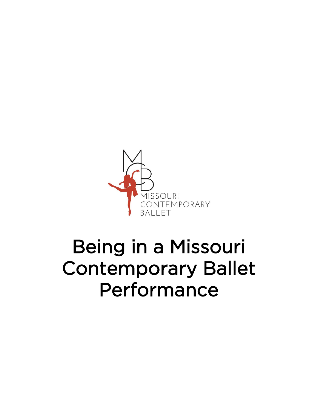

## Being in a Missouri Contemporary Ballet Performance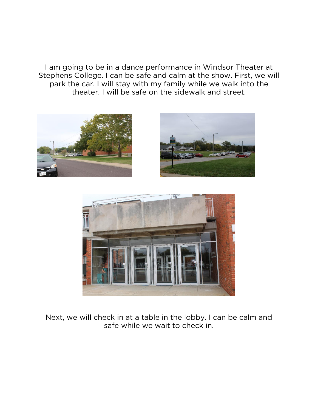I am going to be in a dance performance in Windsor Theater at Stephens College. I can be safe and calm at the show. First, we will park the car. I will stay with my family while we walk into the theater. I will be safe on the sidewalk and street.







Next, we will check in at a table in the lobby. I can be calm and safe while we wait to check in.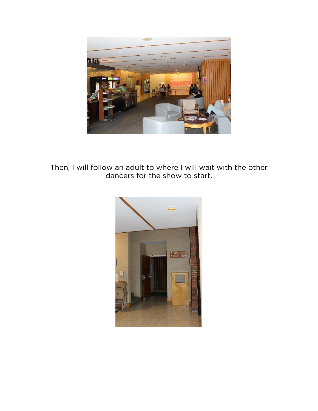

Then, I will follow an adult to where I will wait with the other dancers for the show to start.

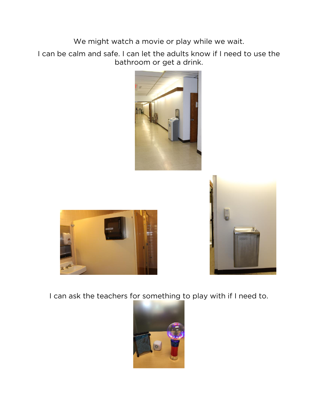We might watch a movie or play while we wait.

I can be calm and safe. I can let the adults know if I need to use the bathroom or get a drink.







I can ask the teachers for something to play with if I need to.

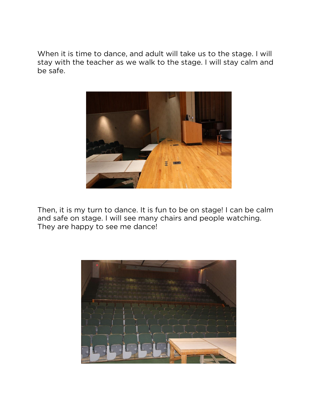When it is time to dance, and adult will take us to the stage. I will stay with the teacher as we walk to the stage. I will stay calm and be safe.



Then, it is my turn to dance. It is fun to be on stage! I can be calm and safe on stage. I will see many chairs and people watching. They are happy to see me dance!

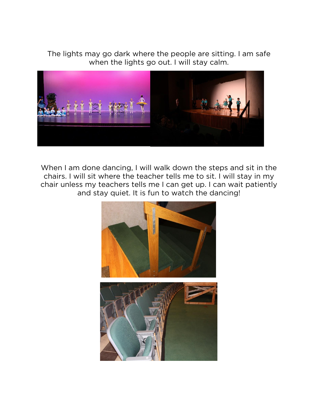The lights may go dark where the people are sitting. I am safe when the lights go out. I will stay calm.



When I am done dancing, I will walk down the steps and sit in the chairs. I will sit where the teacher tells me to sit. I will stay in my chair unless my teachers tells me I can get up. I can wait patiently and stay quiet. It is fun to watch the dancing!

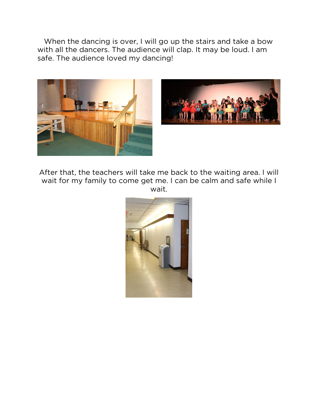When the dancing is over, I will go up the stairs and take a bow with all the dancers. The audience will clap. It may be loud. I am safe. The audience loved my dancing!





After that, the teachers will take me back to the waiting area. I will wait for my family to come get me. I can be calm and safe while I wait.